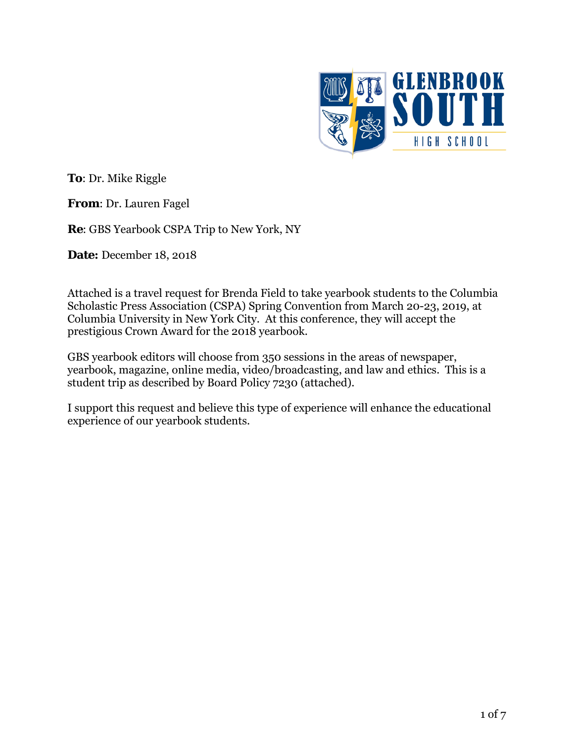

**To**: Dr. Mike Riggle

**From**: Dr. Lauren Fagel

**Re**: GBS Yearbook CSPA Trip to New York, NY

**Date:** December 18, 2018

Attached is a travel request for Brenda Field to take yearbook students to the Columbia Scholastic Press Association (CSPA) Spring Convention from March 20-23, 2019, at Columbia University in New York City. At this conference, they will accept the prestigious Crown Award for the 2018 yearbook.

GBS yearbook editors will choose from 350 sessions in the areas of newspaper, yearbook, magazine, online media, video/broadcasting, and law and ethics. This is a student trip as described by Board Policy 7230 (attached).

I support this request and believe this type of experience will enhance the educational experience of our yearbook students.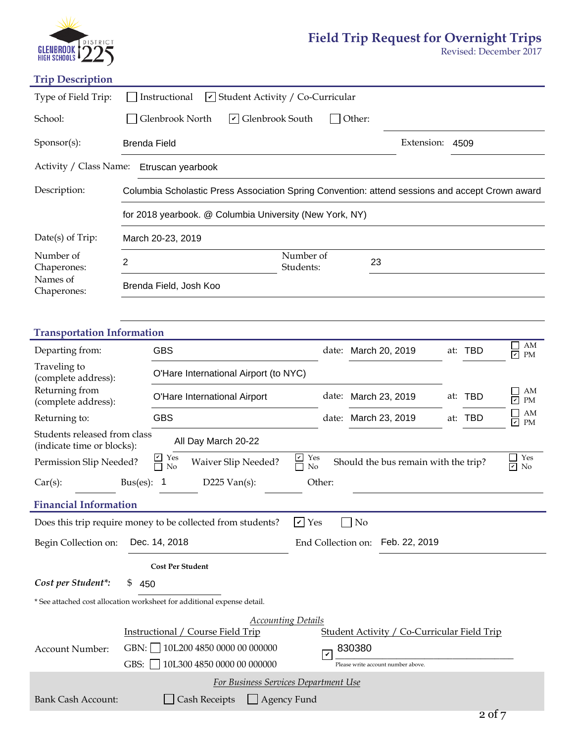

## **Field Trip Request for Overnight Trips**

Revised: December 2017

# **Trip Description**

| Type of Field Trip:                                                                               | Instructional<br>$\vee$ Student Activity / Co-Curricular                                                                                     |  |  |  |  |  |  |
|---------------------------------------------------------------------------------------------------|----------------------------------------------------------------------------------------------------------------------------------------------|--|--|--|--|--|--|
| School:                                                                                           | $\triangleright$ Glenbrook South<br>Glenbrook North<br>Other:                                                                                |  |  |  |  |  |  |
| Sponsor(s):                                                                                       | Extension:<br><b>Brenda Field</b><br>4509                                                                                                    |  |  |  |  |  |  |
| Activity / Class Name:<br>Etruscan yearbook                                                       |                                                                                                                                              |  |  |  |  |  |  |
| Description:                                                                                      | Columbia Scholastic Press Association Spring Convention: attend sessions and accept Crown award                                              |  |  |  |  |  |  |
|                                                                                                   | for 2018 yearbook. @ Columbia University (New York, NY)                                                                                      |  |  |  |  |  |  |
| Date(s) of Trip:                                                                                  | March 20-23, 2019                                                                                                                            |  |  |  |  |  |  |
| Number of<br>Chaperones:                                                                          | Number of<br>$\overline{2}$<br>23<br>Students:                                                                                               |  |  |  |  |  |  |
| Names of<br>Chaperones:                                                                           | Brenda Field, Josh Koo                                                                                                                       |  |  |  |  |  |  |
|                                                                                                   |                                                                                                                                              |  |  |  |  |  |  |
| <b>Transportation Information</b>                                                                 |                                                                                                                                              |  |  |  |  |  |  |
| Departing from:                                                                                   | AM<br><b>GBS</b><br>at: TBD<br>March 20, 2019<br>date:<br>☑<br>PM                                                                            |  |  |  |  |  |  |
| Traveling to<br>(complete address):                                                               | O'Hare International Airport (to NYC)                                                                                                        |  |  |  |  |  |  |
| Returning from<br>(complete address):                                                             | AM<br>date:<br>at: TBD<br>O'Hare International Airport<br>March 23, 2019<br>$\blacktriangledown$<br>PM                                       |  |  |  |  |  |  |
| Returning to:                                                                                     | AM<br><b>GBS</b><br>March 23, 2019<br>at: TBD<br>date:<br>$\blacktriangledown$<br>PM                                                         |  |  |  |  |  |  |
| Students released from class<br>All Day March 20-22<br>(indicate time or blocks):                 |                                                                                                                                              |  |  |  |  |  |  |
| Permission Slip Needed?                                                                           | Yes<br>$\frac{V}{\Box}$ Yes<br>Yes<br><b>Waiver Slip Needed?</b><br>Should the bus remain with the trip?<br>No<br>$\blacktriangledown$<br>No |  |  |  |  |  |  |
| Car(s):                                                                                           | $D225$ Van(s):<br>Other:<br>$Bus(es)$ :                                                                                                      |  |  |  |  |  |  |
| <b>Financial Information</b>                                                                      |                                                                                                                                              |  |  |  |  |  |  |
| $\sqrt{\phantom{a}}$ Yes<br>$\log$<br>Does this trip require money to be collected from students? |                                                                                                                                              |  |  |  |  |  |  |
| Begin Collection on:                                                                              | Dec. 14, 2018<br>Feb. 22, 2019<br>End Collection on:                                                                                         |  |  |  |  |  |  |
|                                                                                                   | <b>Cost Per Student</b>                                                                                                                      |  |  |  |  |  |  |
| Cost per Student*:                                                                                | \$<br>450                                                                                                                                    |  |  |  |  |  |  |
| * See attached cost allocation worksheet for additional expense detail.                           |                                                                                                                                              |  |  |  |  |  |  |
| <b>Accounting Details</b>                                                                         |                                                                                                                                              |  |  |  |  |  |  |
| Account Number:                                                                                   | <b>Instructional / Course Field Trip</b><br><b>Student Activity / Co-Curricular Field Trip</b>                                               |  |  |  |  |  |  |
|                                                                                                   | GBN: 10L200 4850 0000 00 000000<br>830380<br>V                                                                                               |  |  |  |  |  |  |
|                                                                                                   | GBS:<br>10L300 4850 0000 00 000000<br>Please write account number above.                                                                     |  |  |  |  |  |  |
| For Business Services Department Use                                                              |                                                                                                                                              |  |  |  |  |  |  |
| <b>Bank Cash Account:</b>                                                                         | <b>Cash Receipts</b><br>Agency Fund                                                                                                          |  |  |  |  |  |  |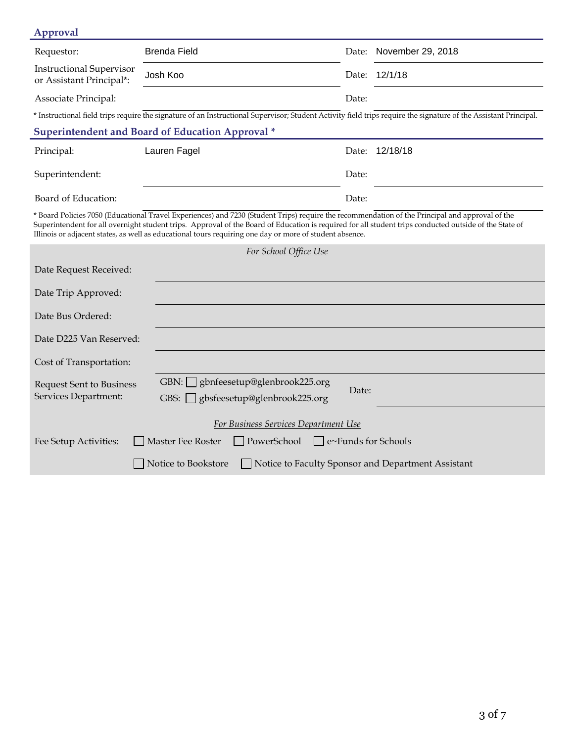| Approval                                                                                                                                                                                                                                                                                                                                                                                                             |                                                                                                                                                                  |       |                         |  |  |  |  |  |  |
|----------------------------------------------------------------------------------------------------------------------------------------------------------------------------------------------------------------------------------------------------------------------------------------------------------------------------------------------------------------------------------------------------------------------|------------------------------------------------------------------------------------------------------------------------------------------------------------------|-------|-------------------------|--|--|--|--|--|--|
| Requestor:                                                                                                                                                                                                                                                                                                                                                                                                           | <b>Brenda Field</b>                                                                                                                                              |       | Date: November 29, 2018 |  |  |  |  |  |  |
| <b>Instructional Supervisor</b><br>or Assistant Principal*:                                                                                                                                                                                                                                                                                                                                                          | Josh Koo                                                                                                                                                         | Date: | 12/1/18                 |  |  |  |  |  |  |
| Associate Principal:                                                                                                                                                                                                                                                                                                                                                                                                 |                                                                                                                                                                  | Date: |                         |  |  |  |  |  |  |
|                                                                                                                                                                                                                                                                                                                                                                                                                      | * Instructional field trips require the signature of an Instructional Supervisor; Student Activity field trips require the signature of the Assistant Principal. |       |                         |  |  |  |  |  |  |
| <b>Superintendent and Board of Education Approval *</b>                                                                                                                                                                                                                                                                                                                                                              |                                                                                                                                                                  |       |                         |  |  |  |  |  |  |
| Principal:                                                                                                                                                                                                                                                                                                                                                                                                           | Lauren Fagel                                                                                                                                                     | Date: | 12/18/18                |  |  |  |  |  |  |
| Superintendent:                                                                                                                                                                                                                                                                                                                                                                                                      |                                                                                                                                                                  | Date: |                         |  |  |  |  |  |  |
| Board of Education:                                                                                                                                                                                                                                                                                                                                                                                                  |                                                                                                                                                                  | Date: |                         |  |  |  |  |  |  |
| * Board Policies 7050 (Educational Travel Experiences) and 7230 (Student Trips) require the recommendation of the Principal and approval of the<br>Superintendent for all overnight student trips. Approval of the Board of Education is required for all student trips conducted outside of the State of<br>Illinois or adjacent states, as well as educational tours requiring one day or more of student absence. |                                                                                                                                                                  |       |                         |  |  |  |  |  |  |
| For School Office Use                                                                                                                                                                                                                                                                                                                                                                                                |                                                                                                                                                                  |       |                         |  |  |  |  |  |  |
| Date Request Received:                                                                                                                                                                                                                                                                                                                                                                                               |                                                                                                                                                                  |       |                         |  |  |  |  |  |  |
| Date Trip Approved:                                                                                                                                                                                                                                                                                                                                                                                                  |                                                                                                                                                                  |       |                         |  |  |  |  |  |  |
| Date Bus Ordered:                                                                                                                                                                                                                                                                                                                                                                                                    |                                                                                                                                                                  |       |                         |  |  |  |  |  |  |
| Date D225 Van Reserved:                                                                                                                                                                                                                                                                                                                                                                                              |                                                                                                                                                                  |       |                         |  |  |  |  |  |  |
| Cost of Transportation:                                                                                                                                                                                                                                                                                                                                                                                              |                                                                                                                                                                  |       |                         |  |  |  |  |  |  |
| <b>Request Sent to Business</b><br>Services Department:                                                                                                                                                                                                                                                                                                                                                              | GBN: gbnfeesetup@glenbrook225.org<br>gbsfeesetup@glenbrook225.org<br>$GBS:$                                                                                      | Date: |                         |  |  |  |  |  |  |
| For Business Services Department Use                                                                                                                                                                                                                                                                                                                                                                                 |                                                                                                                                                                  |       |                         |  |  |  |  |  |  |
| PowerSchool<br>Master Fee Roster<br>$\Box$ e~Funds for Schools<br>Fee Setup Activities:                                                                                                                                                                                                                                                                                                                              |                                                                                                                                                                  |       |                         |  |  |  |  |  |  |
| Notice to Bookstore<br>Notice to Faculty Sponsor and Department Assistant                                                                                                                                                                                                                                                                                                                                            |                                                                                                                                                                  |       |                         |  |  |  |  |  |  |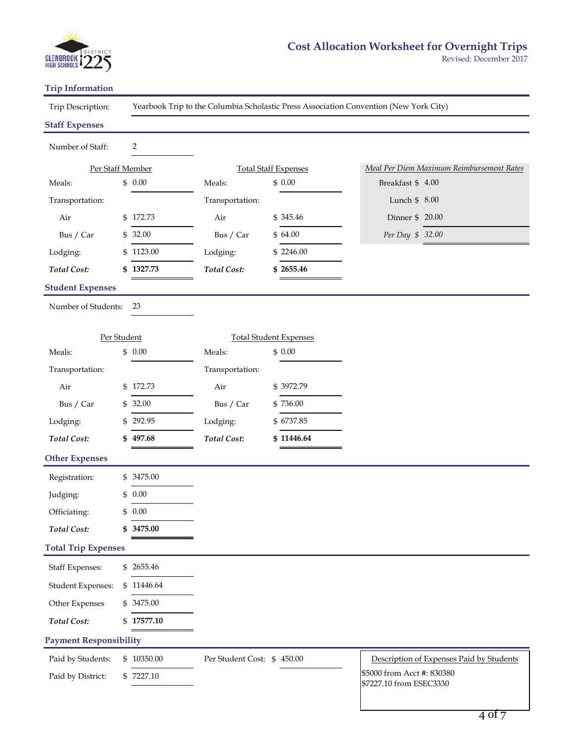

#### **Trip Information**

Trip Description:

Yearbook Trip to the Columbia Scholastic Press Association Convention (New York City)

#### **Staff Expenses**

j,

| Number of Staff:              |    | $\overline{2}$ |                            |                             |                               |  |                                                       |
|-------------------------------|----|----------------|----------------------------|-----------------------------|-------------------------------|--|-------------------------------------------------------|
| Per Staff Member              |    |                |                            | <b>Total Staff Expenses</b> |                               |  | Meal Per Diem Maximum Reimbursement Rates             |
| Meals:                        |    | \$0.00         | Meals:                     |                             | \$0.00                        |  | Breakfast \$ 4.00                                     |
| Transportation:               |    |                | Transportation:            |                             |                               |  | Lunch \$ 8.00                                         |
| Air                           |    | \$172.73       | Air                        |                             | \$345.46                      |  | Dinner \$20.00                                        |
| Bus / Car                     |    | \$32.00        | Bus / Car                  |                             | \$64.00                       |  | Per Day \$ 32.00                                      |
| Lodging:                      |    | \$1123.00      | Lodging:                   |                             | \$2246.00                     |  |                                                       |
| <b>Total Cost:</b>            | \$ | 1327.73        | <b>Total Cost:</b>         |                             | \$2655.46                     |  |                                                       |
| <b>Student Expenses</b>       |    |                |                            |                             |                               |  |                                                       |
| Number of Students:           |    | 23             |                            |                             |                               |  |                                                       |
|                               |    |                |                            |                             |                               |  |                                                       |
| Per Student                   |    |                |                            |                             | <b>Total Student Expenses</b> |  |                                                       |
| Meals:                        |    | \$0.00         | Meals:                     |                             | \$0.00                        |  |                                                       |
| Transportation:               |    |                | Transportation:            |                             |                               |  |                                                       |
| Air                           |    | \$172.73       | Air                        |                             | \$3972.79                     |  |                                                       |
| Bus / Car                     | \$ | 32.00          | Bus / Car                  |                             | \$736.00                      |  |                                                       |
| Lodging:                      | S. | 292.95         | Lodging:                   |                             | \$6737.85                     |  |                                                       |
| <b>Total Cost:</b>            |    | 497.68         | <b>Total Cost:</b>         |                             | \$11446.64                    |  |                                                       |
| <b>Other Expenses</b>         |    |                |                            |                             |                               |  |                                                       |
| Registration:                 |    | \$ 3475.00     |                            |                             |                               |  |                                                       |
| Judging:                      | \$ | 0.00           |                            |                             |                               |  |                                                       |
| Officiating:                  | \$ | 0.00           |                            |                             |                               |  |                                                       |
| <b>Total Cost:</b>            |    | 3475.00        |                            |                             |                               |  |                                                       |
| <b>Total Trip Expenses</b>    |    |                |                            |                             |                               |  |                                                       |
| <b>Staff Expenses:</b>        | \$ | 2655.46        |                            |                             |                               |  |                                                       |
| <b>Student Expenses:</b>      | \$ | 11446.64       |                            |                             |                               |  |                                                       |
| Other Expenses                |    | 3475.00        |                            |                             |                               |  |                                                       |
| <b>Total Cost:</b>            | \$ | 17577.10       |                            |                             |                               |  |                                                       |
| <b>Payment Responsibility</b> |    |                |                            |                             |                               |  |                                                       |
| Paid by Students:             |    | \$10350.00     | Per Student Cost: \$450.00 |                             |                               |  | Description of Expenses Paid by Students              |
| Paid by District:             |    | \$7227.10      |                            |                             |                               |  | \$5000 from Acct #: 830380<br>\$7227.10 from ESEC3330 |
|                               |    |                |                            |                             |                               |  |                                                       |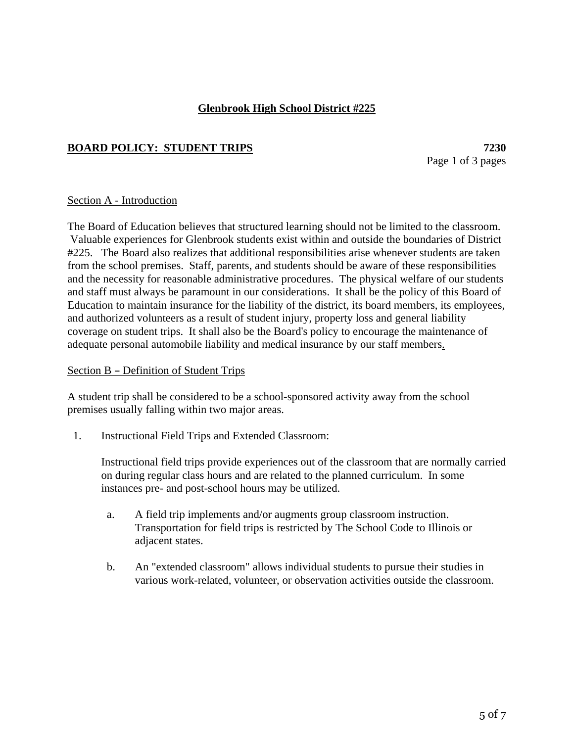### **Glenbrook High School District #225**

### **BOARD POLICY: STUDENT TRIPS** 7230

Page 1 of 3 pages

#### Section A - Introduction

The Board of Education believes that structured learning should not be limited to the classroom. Valuable experiences for Glenbrook students exist within and outside the boundaries of District #225. The Board also realizes that additional responsibilities arise whenever students are taken from the school premises. Staff, parents, and students should be aware of these responsibilities and the necessity for reasonable administrative procedures. The physical welfare of our students and staff must always be paramount in our considerations. It shall be the policy of this Board of Education to maintain insurance for the liability of the district, its board members, its employees, and authorized volunteers as a result of student injury, property loss and general liability coverage on student trips. It shall also be the Board's policy to encourage the maintenance of adequate personal automobile liability and medical insurance by our staff members.

#### Section B - Definition of Student Trips

A student trip shall be considered to be a school-sponsored activity away from the school premises usually falling within two major areas.

1. Instructional Field Trips and Extended Classroom:

Instructional field trips provide experiences out of the classroom that are normally carried on during regular class hours and are related to the planned curriculum. In some instances pre- and post-school hours may be utilized.

- a. A field trip implements and/or augments group classroom instruction. Transportation for field trips is restricted by The School Code to Illinois or adjacent states.
- b. An "extended classroom" allows individual students to pursue their studies in various work-related, volunteer, or observation activities outside the classroom.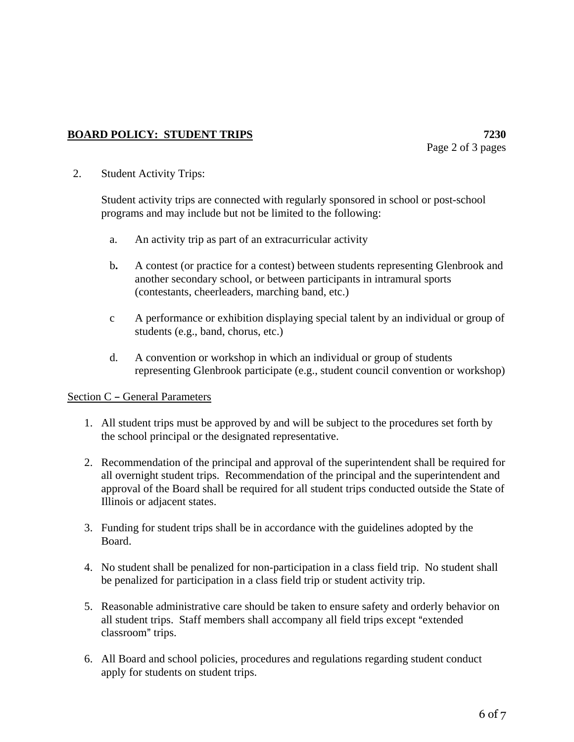## **BOARD POLICY: STUDENT TRIPS** 7230

2. Student Activity Trips:

Student activity trips are connected with regularly sponsored in school or post-school programs and may include but not be limited to the following:

- a. An activity trip as part of an extracurricular activity
- b**.** A contest (or practice for a contest) between students representing Glenbrook and another secondary school, or between participants in intramural sports (contestants, cheerleaders, marching band, etc.)
- c A performance or exhibition displaying special talent by an individual or group of students (e.g., band, chorus, etc.)
- d. A convention or workshop in which an individual or group of students representing Glenbrook participate (e.g., student council convention or workshop)

#### Section C - General Parameters

- 1. All student trips must be approved by and will be subject to the procedures set forth by the school principal or the designated representative.
- 2. Recommendation of the principal and approval of the superintendent shall be required for all overnight student trips. Recommendation of the principal and the superintendent and approval of the Board shall be required for all student trips conducted outside the State of Illinois or adjacent states.
- 3. Funding for student trips shall be in accordance with the guidelines adopted by the Board.
- 4. No student shall be penalized for non-participation in a class field trip. No student shall be penalized for participation in a class field trip or student activity trip.
- 5. Reasonable administrative care should be taken to ensure safety and orderly behavior on all student trips. Staff members shall accompany all field trips except "extended classroom" trips.
- 6. All Board and school policies, procedures and regulations regarding student conduct apply for students on student trips.